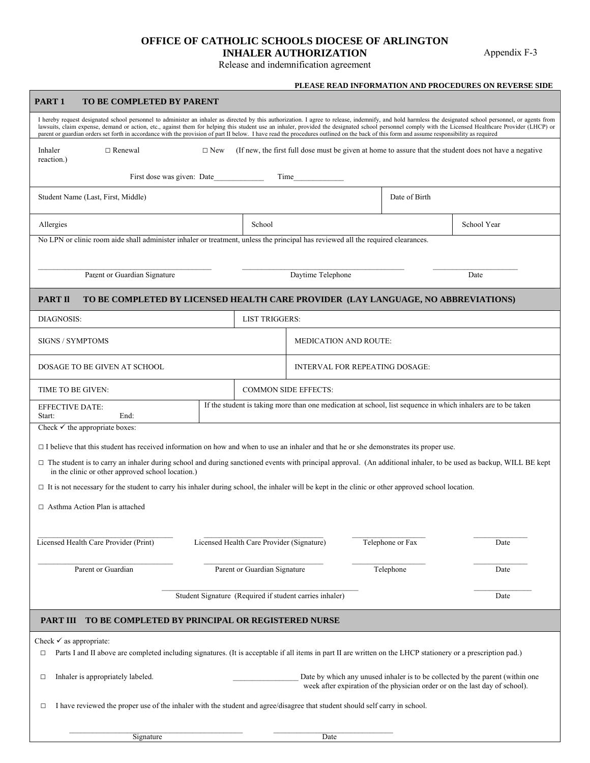## **OFFICE OF CATHOLIC SCHOOLS DIOCESE OF ARLINGTON INHALER AUTHORIZATION**

Appendix F-3

Release and indemnification agreement

## **PLEASE READ INFORMATION AND PROCEDURES ON REVERSE SIDE**

| PART <sub>1</sub><br>TO BE COMPLETED BY PARENT                                                                                                                                                                                                                                                                                                                                                                                                                                                                                                                                                                   |                                                                                                              |                                                                            |                                                                                           |  |
|------------------------------------------------------------------------------------------------------------------------------------------------------------------------------------------------------------------------------------------------------------------------------------------------------------------------------------------------------------------------------------------------------------------------------------------------------------------------------------------------------------------------------------------------------------------------------------------------------------------|--------------------------------------------------------------------------------------------------------------|----------------------------------------------------------------------------|-------------------------------------------------------------------------------------------|--|
| I hereby request designated school personnel to administer an inhaler as directed by this authorization. I agree to release, indemnify, and hold harmless the designated school personnel, or agents from<br>lawsuits, claim expense, demand or action, etc., against them for helping this student use an inhaler, provided the designated school personnel comply with the Licensed Healthcare Provider (LHCP) or<br>parent or guardian orders set forth in accordance with the provision of part II below. I have read the procedures outlined on the back of this form and assume responsibility as required |                                                                                                              |                                                                            |                                                                                           |  |
| $\Box$ Renewal<br>$\Box$ New<br>(If new, the first full dose must be given at home to assure that the student does not have a negative<br>Inhaler<br>reaction.)                                                                                                                                                                                                                                                                                                                                                                                                                                                  |                                                                                                              |                                                                            |                                                                                           |  |
| First dose was given: Date<br>Time                                                                                                                                                                                                                                                                                                                                                                                                                                                                                                                                                                               |                                                                                                              |                                                                            |                                                                                           |  |
| Student Name (Last, First, Middle)                                                                                                                                                                                                                                                                                                                                                                                                                                                                                                                                                                               |                                                                                                              | Date of Birth                                                              |                                                                                           |  |
| School                                                                                                                                                                                                                                                                                                                                                                                                                                                                                                                                                                                                           |                                                                                                              |                                                                            | School Year                                                                               |  |
| No LPN or clinic room aide shall administer inhaler or treatment, unless the principal has reviewed all the required clearances.                                                                                                                                                                                                                                                                                                                                                                                                                                                                                 |                                                                                                              |                                                                            |                                                                                           |  |
|                                                                                                                                                                                                                                                                                                                                                                                                                                                                                                                                                                                                                  | Daytime Telephone                                                                                            |                                                                            | Date                                                                                      |  |
| PART II<br>TO BE COMPLETED BY LICENSED HEALTH CARE PROVIDER (LAY LANGUAGE, NO ABBREVIATIONS)                                                                                                                                                                                                                                                                                                                                                                                                                                                                                                                     |                                                                                                              |                                                                            |                                                                                           |  |
|                                                                                                                                                                                                                                                                                                                                                                                                                                                                                                                                                                                                                  |                                                                                                              |                                                                            |                                                                                           |  |
| <b>SIGNS / SYMPTOMS</b>                                                                                                                                                                                                                                                                                                                                                                                                                                                                                                                                                                                          |                                                                                                              |                                                                            |                                                                                           |  |
| DOSAGE TO BE GIVEN AT SCHOOL                                                                                                                                                                                                                                                                                                                                                                                                                                                                                                                                                                                     |                                                                                                              |                                                                            |                                                                                           |  |
|                                                                                                                                                                                                                                                                                                                                                                                                                                                                                                                                                                                                                  | <b>COMMON SIDE EFFECTS:</b>                                                                                  |                                                                            |                                                                                           |  |
|                                                                                                                                                                                                                                                                                                                                                                                                                                                                                                                                                                                                                  | If the student is taking more than one medication at school, list sequence in which inhalers are to be taken |                                                                            |                                                                                           |  |
| Check $\checkmark$ the appropriate boxes:                                                                                                                                                                                                                                                                                                                                                                                                                                                                                                                                                                        |                                                                                                              |                                                                            |                                                                                           |  |
| $\Box$ I believe that this student has received information on how and when to use an inhaler and that he or she demonstrates its proper use.                                                                                                                                                                                                                                                                                                                                                                                                                                                                    |                                                                                                              |                                                                            |                                                                                           |  |
| $\Box$ The student is to carry an inhaler during school and during sanctioned events with principal approval. (An additional inhaler, to be used as backup, WILL BE kept<br>in the clinic or other approved school location.)                                                                                                                                                                                                                                                                                                                                                                                    |                                                                                                              |                                                                            |                                                                                           |  |
| $\Box$ It is not necessary for the student to carry his inhaler during school, the inhaler will be kept in the clinic or other approved school location.                                                                                                                                                                                                                                                                                                                                                                                                                                                         |                                                                                                              |                                                                            |                                                                                           |  |
| $\Box$ Asthma Action Plan is attached                                                                                                                                                                                                                                                                                                                                                                                                                                                                                                                                                                            |                                                                                                              |                                                                            |                                                                                           |  |
|                                                                                                                                                                                                                                                                                                                                                                                                                                                                                                                                                                                                                  |                                                                                                              |                                                                            |                                                                                           |  |
|                                                                                                                                                                                                                                                                                                                                                                                                                                                                                                                                                                                                                  |                                                                                                              |                                                                            | Date                                                                                      |  |
| Parent or Guardian Signature                                                                                                                                                                                                                                                                                                                                                                                                                                                                                                                                                                                     |                                                                                                              | Telephone                                                                  | Date                                                                                      |  |
| Student Signature (Required if student carries inhaler)                                                                                                                                                                                                                                                                                                                                                                                                                                                                                                                                                          |                                                                                                              |                                                                            | Date                                                                                      |  |
| TO BE COMPLETED BY PRINCIPAL OR REGISTERED NURSE<br>PART III                                                                                                                                                                                                                                                                                                                                                                                                                                                                                                                                                     |                                                                                                              |                                                                            |                                                                                           |  |
| Check $\checkmark$ as appropriate:<br>Parts I and II above are completed including signatures. (It is acceptable if all items in part II are written on the LHCP stationery or a prescription pad.)<br>□                                                                                                                                                                                                                                                                                                                                                                                                         |                                                                                                              |                                                                            |                                                                                           |  |
| Inhaler is appropriately labeled.<br>Date by which any unused inhaler is to be collected by the parent (within one<br>□<br>week after expiration of the physician order or on the last day of school).                                                                                                                                                                                                                                                                                                                                                                                                           |                                                                                                              |                                                                            |                                                                                           |  |
| I have reviewed the proper use of the inhaler with the student and agree/disagree that student should self carry in school.<br>□                                                                                                                                                                                                                                                                                                                                                                                                                                                                                 |                                                                                                              |                                                                            |                                                                                           |  |
|                                                                                                                                                                                                                                                                                                                                                                                                                                                                                                                                                                                                                  |                                                                                                              |                                                                            |                                                                                           |  |
|                                                                                                                                                                                                                                                                                                                                                                                                                                                                                                                                                                                                                  |                                                                                                              | <b>LIST TRIGGERS:</b><br>Licensed Health Care Provider (Signature)<br>Date | <b>MEDICATION AND ROUTE:</b><br><b>INTERVAL FOR REPEATING DOSAGE:</b><br>Telephone or Fax |  |